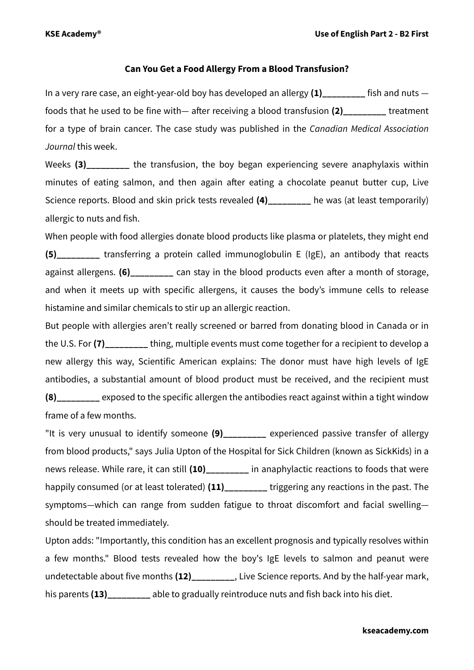## **Can You Get a Food Allergy From a Blood Transfusion?**

In a very rare case, an eight-year-old boy has developed an allergy **(1)\_\_\_\_\_\_\_\_\_** fish and nuts foods that he used to be fine with— after receiving a blood transfusion **(2)\_\_\_\_\_\_\_\_\_** treatment for a type of brain cancer. The case study was published in the *Canadian Medical Association Journal* this week.

Weeks (3) The transfusion, the boy began experiencing severe anaphylaxis within minutes of eating salmon, and then again after eating a chocolate peanut butter cup, Live Science reports. Blood and skin prick tests revealed (4) he was (at least temporarily) allergic to nuts and fish.

When people with food allergies donate blood products like plasma or platelets, they might end **(5)\_\_\_\_\_\_\_\_\_** transferring a protein called immunoglobulin E (IgE), an antibody that reacts against allergens. **(6)\_\_\_\_\_\_\_\_\_** can stay in the blood products even after a month of storage, and when it meets up with specific allergens, it causes the body's immune cells to release histamine and similar chemicals to stir up an allergic reaction.

But people with allergies aren't really screened or barred from donating blood in Canada or in the U.S. For (7) thing, multiple events must come together for a recipient to develop a new allergy this way, Scientific American explains: The donor must have high levels of IgE antibodies, a substantial amount of blood product must be received, and the recipient must **(8)\_\_\_\_\_\_\_\_\_** exposed to the specific allergen the antibodies react against within a tight window frame of a few months.

"It is very unusual to identify someone **(9)\_\_\_\_\_\_\_\_\_** experienced passive transfer of allergy from blood products," says Julia Upton of the Hospital for Sick Children (known as SickKids) in a news release. While rare, it can still **(10)\_\_\_\_\_\_\_\_\_** in anaphylactic reactions to foods that were happily consumed (or at least tolerated) **(11)\_\_\_\_\_\_\_\_\_** triggering any reactions in the past. The symptoms—which can range from sudden fatigue to throat discomfort and facial swelling should be treated immediately.

Upton adds: "Importantly, this condition has an excellent prognosis and typically resolves within a few months." Blood tests revealed how the boy's IgE levels to salmon and peanut were undetectable about five months **(12)\_\_\_\_\_\_\_\_\_**, Live Science reports. And by the half-year mark, his parents **(13)\_\_\_\_\_\_\_\_\_** able to gradually reintroduce nuts and fish back into his diet.